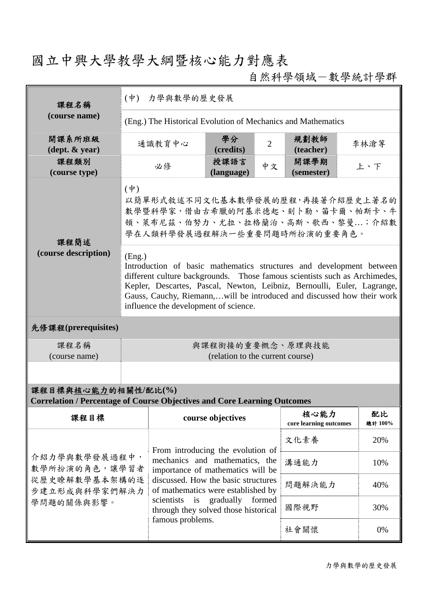## 國立中興大學教學大綱暨核心能力對應表

自然科學領域-數學統計學群

| 課程名稱                                                                                                   | (中) 力學與數學的歷史發展                                                                                                                                                                                                                                                                                                                                             |                                                                                                                                                                                                                                                                                           |                    |                                |                    |      |  |  |  |
|--------------------------------------------------------------------------------------------------------|------------------------------------------------------------------------------------------------------------------------------------------------------------------------------------------------------------------------------------------------------------------------------------------------------------------------------------------------------------|-------------------------------------------------------------------------------------------------------------------------------------------------------------------------------------------------------------------------------------------------------------------------------------------|--------------------|--------------------------------|--------------------|------|--|--|--|
| (course name)                                                                                          | (Eng.) The Historical Evolution of Mechanics and Mathematics                                                                                                                                                                                                                                                                                               |                                                                                                                                                                                                                                                                                           |                    |                                |                    |      |  |  |  |
| 開課系所班級<br>$(\text{dept.} \& \text{ year})$                                                             |                                                                                                                                                                                                                                                                                                                                                            | 通識教育中心                                                                                                                                                                                                                                                                                    | 學分<br>(credits)    | $\overline{2}$                 | 規劃教師<br>(teacher)  | 李林滄等 |  |  |  |
| 課程類別<br>(course type)                                                                                  |                                                                                                                                                                                                                                                                                                                                                            | 必修                                                                                                                                                                                                                                                                                        | 授課語言<br>(language) | 中文                             | 開課學期<br>(semester) | 上、下  |  |  |  |
| 課程簡述<br>(course description)                                                                           | $(\phi)$<br>以簡單形式敘述不同文化基本數學發展的歷程,再接著介紹歷史上著名的<br>數學暨科學家,借由古希臘的阿基米德起、刻卜勒、笛卡爾、帕斯卡、牛<br>頓、萊布尼茲、伯努力、尤拉、拉格蘭治、高斯、歌西、黎曼;介紹數<br>學在人類科學發展過程解決一些重要問題時所扮演的重要角色。                                                                                                                                                                                                        |                                                                                                                                                                                                                                                                                           |                    |                                |                    |      |  |  |  |
|                                                                                                        | (Eng.)<br>Introduction of basic mathematics structures and development between<br>different culture backgrounds. Those famous scientists such as Archimedes,<br>Kepler, Descartes, Pascal, Newton, Leibniz, Bernoulli, Euler, Lagrange,<br>Gauss, Cauchy, Riemann,will be introduced and discussed how their work<br>influence the development of science. |                                                                                                                                                                                                                                                                                           |                    |                                |                    |      |  |  |  |
| 先修課程(prerequisites)                                                                                    |                                                                                                                                                                                                                                                                                                                                                            |                                                                                                                                                                                                                                                                                           |                    |                                |                    |      |  |  |  |
| 課程名稱<br>(course name)                                                                                  | 與課程銜接的重要概念、原理與技能<br>(relation to the current course)                                                                                                                                                                                                                                                                                                       |                                                                                                                                                                                                                                                                                           |                    |                                |                    |      |  |  |  |
|                                                                                                        |                                                                                                                                                                                                                                                                                                                                                            |                                                                                                                                                                                                                                                                                           |                    |                                |                    |      |  |  |  |
| 課程目標與核心能力的相關性/配比(%)<br><b>Correlation / Percentage of Course Objectives and Core Learning Outcomes</b> |                                                                                                                                                                                                                                                                                                                                                            |                                                                                                                                                                                                                                                                                           |                    |                                |                    |      |  |  |  |
| 課程目標                                                                                                   |                                                                                                                                                                                                                                                                                                                                                            | course objectives                                                                                                                                                                                                                                                                         |                    | 核心能力<br>core learning outcomes | 配比<br>總計 100%      |      |  |  |  |
| 介紹力學與數學發展過程中,<br>數學所扮演的角色,讓學習者<br>從歷史瞭解數學基本架構的逐<br>步建立形成與科學家們解決力<br>學問題的關係與影響。                         |                                                                                                                                                                                                                                                                                                                                                            | From introducing the evolution of<br>mechanics and mathematics, the<br>importance of mathematics will be<br>discussed. How the basic structures<br>of mathematics were established by<br>is gradually<br>formed<br>scientists<br>through they solved those historical<br>famous problems. |                    |                                | 文化素養               | 20%  |  |  |  |
|                                                                                                        |                                                                                                                                                                                                                                                                                                                                                            |                                                                                                                                                                                                                                                                                           |                    |                                | 溝通能力               | 10%  |  |  |  |
|                                                                                                        |                                                                                                                                                                                                                                                                                                                                                            |                                                                                                                                                                                                                                                                                           |                    |                                | 問題解決能力             | 40%  |  |  |  |
|                                                                                                        |                                                                                                                                                                                                                                                                                                                                                            |                                                                                                                                                                                                                                                                                           |                    |                                | 國際視野               | 30%  |  |  |  |
|                                                                                                        |                                                                                                                                                                                                                                                                                                                                                            |                                                                                                                                                                                                                                                                                           |                    |                                | 社會關懷               | 0%   |  |  |  |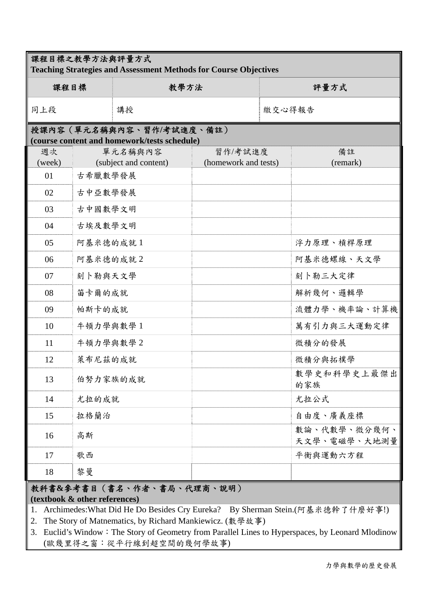| 課程目標之教學方法與評量方式<br><b>Teaching Strategies and Assessment Methods for Course Objectives</b> |          |                           |                      |        |                              |  |  |  |  |
|-------------------------------------------------------------------------------------------|----------|---------------------------|----------------------|--------|------------------------------|--|--|--|--|
| 課程目標                                                                                      |          | 教學方法                      |                      | 評量方式   |                              |  |  |  |  |
| 同上段                                                                                       | 講授       |                           |                      | 繳交心得報告 |                              |  |  |  |  |
| 授課內容(單元名稱與內容、習作/考試進度、備註)<br>(course content and homework/tests schedule)                  |          |                           |                      |        |                              |  |  |  |  |
| 週次                                                                                        |          | 單元名稱與內容                   | 習作/考試進度              |        | 備註                           |  |  |  |  |
| (week)                                                                                    |          | (subject and content)     | (homework and tests) |        | (remark)                     |  |  |  |  |
| 01                                                                                        | 古希臘數學發展  |                           |                      |        |                              |  |  |  |  |
| 02                                                                                        | 古中亞數學發展  |                           |                      |        |                              |  |  |  |  |
| 03                                                                                        | 古中國數學文明  |                           |                      |        |                              |  |  |  |  |
| 04                                                                                        | 古埃及數學文明  |                           |                      |        |                              |  |  |  |  |
| 05                                                                                        | 阿基米德的成就1 |                           |                      |        | 浮力原理、槓桿原理                    |  |  |  |  |
| 06                                                                                        | 阿基米德的成就2 |                           |                      |        | 阿基米德螺線、天文學                   |  |  |  |  |
| 07                                                                                        | 刻卜勒與天文學  |                           |                      |        | 刻卜勒三大定律                      |  |  |  |  |
| 08                                                                                        | 笛卡爾的成就   |                           |                      |        | 解析幾何、邏輯學                     |  |  |  |  |
| 09                                                                                        | 帕斯卡的成就   |                           |                      |        | 流體力學、機率論、計算機                 |  |  |  |  |
| 10                                                                                        | 牛頓力學與數學1 |                           |                      |        | 萬有引力與三大運動定律                  |  |  |  |  |
| 11                                                                                        | 牛頓力學與數學2 |                           |                      |        | 微積分的發展                       |  |  |  |  |
| 12                                                                                        | 萊布尼茲的成就  |                           |                      |        | 微積分與拓樸學                      |  |  |  |  |
| 13                                                                                        | 伯努力家族的成就 |                           |                      |        | 數學史和科學史上最傑出<br>的家族           |  |  |  |  |
| 14                                                                                        | 尤拉的成就    |                           |                      |        | 尤拉公式                         |  |  |  |  |
| 15                                                                                        | 拉格蘭治     |                           |                      |        | 自由度、廣義座標                     |  |  |  |  |
| 16                                                                                        | 高斯       |                           |                      |        | 數論、代數學、微分幾何、<br>天文學、電磁學、大地測量 |  |  |  |  |
| 17                                                                                        | 歌西       |                           |                      |        | 平衡與運動六方程                     |  |  |  |  |
| 18                                                                                        | 黎曼       |                           |                      |        |                              |  |  |  |  |
|                                                                                           |          | 粉科書&參老書日(書名、作者、書局、代理商、說明) |                      |        |                              |  |  |  |  |

## 教科書**&**參考書目(書名、作者、書局、代理商、說明)

**(textbook & other references)**

1. Archimedes: What Did He Do Besides Cry Eureka? By Sherman Stein.(阿基米德幹了什麼好事!)

2. The Story of Matnematics, by Richard Mankiewicz. (數學故事)

3. Euclid's Window:The Story of Geometry from Parallel Lines to Hyperspaces, by Leonard Mlodinow (歐幾里得之窗:從平行線到超空間的幾何學故事)